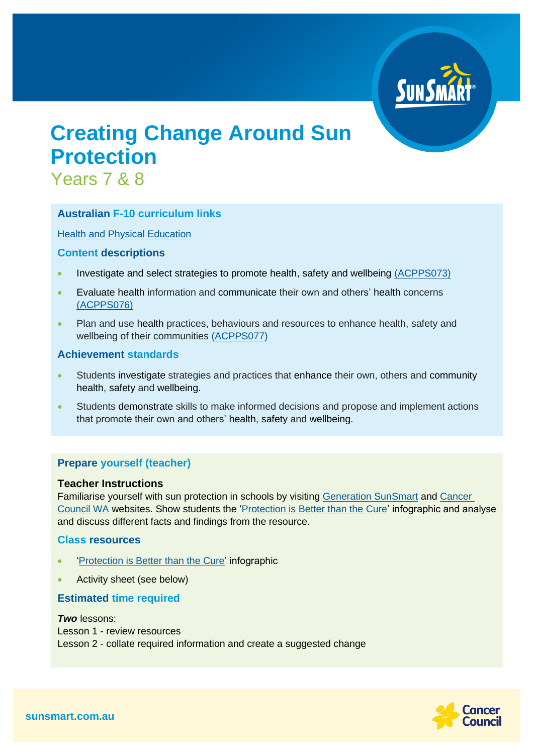

# **Creating Change Around Sun Protection**

Years 7 & 8

# **Australian F-10 curriculum links**

[Health and Physical Education](https://www.australiancurriculum.edu.au/f-10-curriculum/health-and-physical-education/?year=12997&strand=Personal%2C+Social+and+Community+Health&strand=Movement+and+Physical+Activity&capability=ignore&capability=Literacy&capability=Numeracy&capability=Information+and+Communication+Technology+%28ICT%29+Capability&capability=Critical+and+Creative+Thinking&capability=Personal+and+Social+Capability&capability=Ethical+Understanding&capability=Intercultural+Understanding&priority=ignore&priority=Aboriginal+and+Torres+Strait+Islander+Histories+and+Cultures&priority=Asia+and+Australia%E2%80%99s+Engagement+with+Asia&priority=Sustainability&elaborations=true&elaborations=false&scotterms=false&isFirstPageLoad=false)

## **Content descriptions**

- Investigate and select strategies to promote health, safety and wellbeing [\(ACPPS073\)](http://www.scootle.edu.au/ec/search?accContentId=ACPPS073)
- Evaluate health information and communicate their own and others' health concerns [\(ACPPS076\)](http://www.scootle.edu.au/ec/search?accContentId=ACPPS076)
- Plan and use health practices, behaviours and resources to enhance health, safety and wellbeing of their communities [\(ACPPS077\)](http://www.scootle.edu.au/ec/search?accContentId=ACPPS077)

### **Achievement standards**

- Students investigate strategies and practices that enhance their own, others and community health, safety and wellbeing.
- Students demonstrate skills to make informed decisions and propose and implement actions that promote their own and others' health, safety and wellbeing.

# **Prepare yourself (teacher)**

### **Teacher Instructions**

Familiarise yourself with sun protection in schools by visiting [Generation SunSmart](https://www.generationsunsmart.com.au/) and [Cancer](https://www.cancerwa.asn.au/prevention/sunsmart/)  [Council WA](https://www.cancerwa.asn.au/prevention/sunsmart/) websites. Show students the ['Protection is Better than the Cure'](https://www.cancerwa.asn.au/resources/2021-07-30-SS-protection-is-better-than-the-cure-infographic-poste-A3.pdf) infographic and analyse and discuss different facts and findings from the resource.

### **Class resources**

- ['Protection is Better than the Cure'](https://www.cancerwa.asn.au/resources/2021-07-30-SS-protection-is-better-than-the-cure-infographic-poste-A3.pdf) infographic
- Activity sheet (see below)

### **Estimated time required**

*Two* lessons: Lesson 1 - review resources Lesson 2 - collate required information and create a suggested change

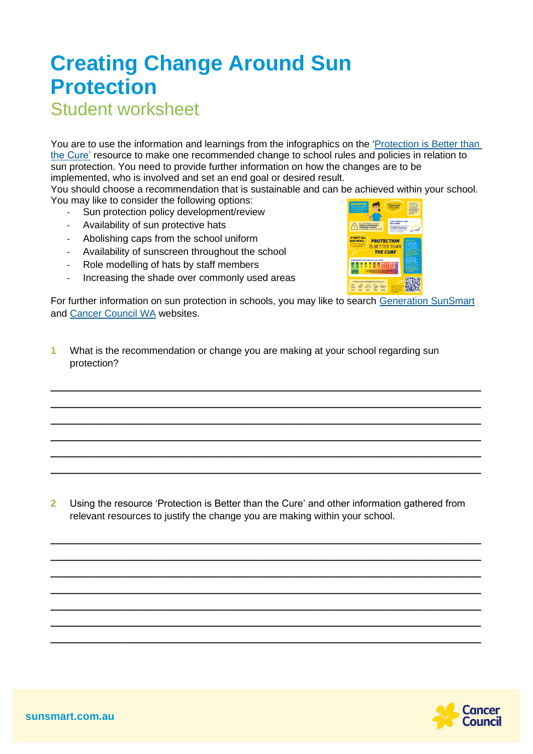# **Creating Change Around Sun Protection** Student worksheet

You are to use the information and learnings from the infographics on the ['Protection is Better than](https://www.cancerwa.asn.au/resources/2021-07-30-SS-protection-is-better-than-the-cure-infographic-poste-A3.pdf)  [the Cure'](https://www.cancerwa.asn.au/resources/2021-07-30-SS-protection-is-better-than-the-cure-infographic-poste-A3.pdf) resource to make one recommended change to school rules and policies in relation to sun protection. You need to provide further information on how the changes are to be implemented, who is involved and set an end goal or desired result.

You should choose a recommendation that is sustainable and can be achieved within your school. You may like to consider the following options:

- Sun protection policy development/review
- Availability of sun protective hats
- Abolishing caps from the school uniform
- Availability of sunscreen throughout the school
- Role modelling of hats by staff members
- Increasing the shade over commonly used areas



For further information on sun protection in schools, you may like to search [Generation SunSmart](https://www.generationsunsmart.com.au/) and [Cancer Council WA](https://www.cancerwa.asn.au/prevention/sunsmart/) websites.

\_\_\_\_\_\_\_\_\_\_\_\_\_\_\_\_\_\_\_\_\_\_\_\_\_\_\_\_\_\_\_\_\_\_\_\_\_\_\_\_\_\_\_\_\_\_\_\_\_\_\_\_\_\_ \_\_\_\_\_\_\_\_\_\_\_\_\_\_\_\_\_\_\_\_\_\_\_\_\_\_\_\_\_\_\_\_\_\_\_\_\_\_\_\_\_\_\_\_\_\_\_\_\_\_\_\_\_\_ \_\_\_\_\_\_\_\_\_\_\_\_\_\_\_\_\_\_\_\_\_\_\_\_\_\_\_\_\_\_\_\_\_\_\_\_\_\_\_\_\_\_\_\_\_\_\_\_\_\_\_\_\_\_ \_\_\_\_\_\_\_\_\_\_\_\_\_\_\_\_\_\_\_\_\_\_\_\_\_\_\_\_\_\_\_\_\_\_\_\_\_\_\_\_\_\_\_\_\_\_\_\_\_\_\_\_\_\_ \_\_\_\_\_\_\_\_\_\_\_\_\_\_\_\_\_\_\_\_\_\_\_\_\_\_\_\_\_\_\_\_\_\_\_\_\_\_\_\_\_\_\_\_\_\_\_\_\_\_\_\_\_\_ \_\_\_\_\_\_\_\_\_\_\_\_\_\_\_\_\_\_\_\_\_\_\_\_\_\_\_\_\_\_\_\_\_\_\_\_\_\_\_\_\_\_\_\_\_\_\_\_\_\_\_\_\_\_

**1** What is the recommendation or change you are making at your school regarding sun protection?

**2** Using the resource 'Protection is Better than the Cure' and other information gathered from relevant resources to justify the change you are making within your school.

\_\_\_\_\_\_\_\_\_\_\_\_\_\_\_\_\_\_\_\_\_\_\_\_\_\_\_\_\_\_\_\_\_\_\_\_\_\_\_\_\_\_\_\_\_\_\_\_\_\_\_\_\_\_ \_\_\_\_\_\_\_\_\_\_\_\_\_\_\_\_\_\_\_\_\_\_\_\_\_\_\_\_\_\_\_\_\_\_\_\_\_\_\_\_\_\_\_\_\_\_\_\_\_\_\_\_\_\_ \_\_\_\_\_\_\_\_\_\_\_\_\_\_\_\_\_\_\_\_\_\_\_\_\_\_\_\_\_\_\_\_\_\_\_\_\_\_\_\_\_\_\_\_\_\_\_\_\_\_\_\_\_\_ \_\_\_\_\_\_\_\_\_\_\_\_\_\_\_\_\_\_\_\_\_\_\_\_\_\_\_\_\_\_\_\_\_\_\_\_\_\_\_\_\_\_\_\_\_\_\_\_\_\_\_\_\_\_ \_\_\_\_\_\_\_\_\_\_\_\_\_\_\_\_\_\_\_\_\_\_\_\_\_\_\_\_\_\_\_\_\_\_\_\_\_\_\_\_\_\_\_\_\_\_\_\_\_\_\_\_\_\_ \_\_\_\_\_\_\_\_\_\_\_\_\_\_\_\_\_\_\_\_\_\_\_\_\_\_\_\_\_\_\_\_\_\_\_\_\_\_\_\_\_\_\_\_\_\_\_\_\_\_\_\_\_\_ \_\_\_\_\_\_\_\_\_\_\_\_\_\_\_\_\_\_\_\_\_\_\_\_\_\_\_\_\_\_\_\_\_\_\_\_\_\_\_\_\_\_\_\_\_\_\_\_\_\_\_\_\_\_

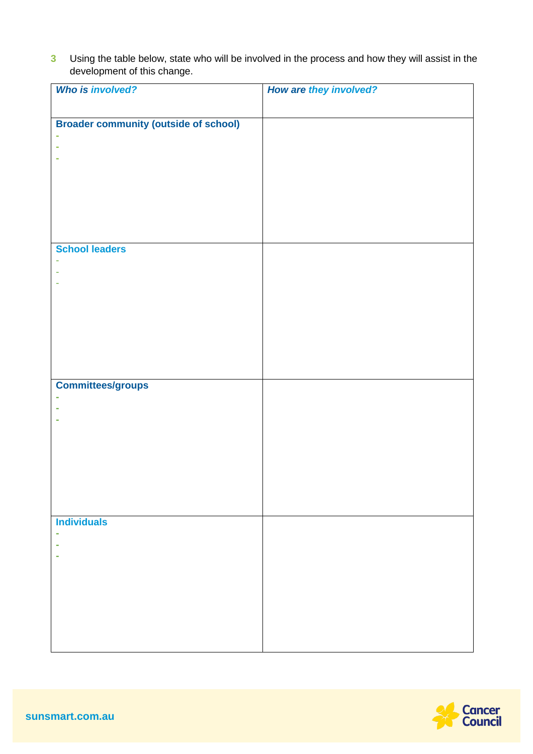**3** Using the table below, state who will be involved in the process and how they will assist in the development of this change.

| <b>Who is involved?</b>                      | How are they involved? |
|----------------------------------------------|------------------------|
|                                              |                        |
| <b>Broader community (outside of school)</b> |                        |
|                                              |                        |
|                                              |                        |
|                                              |                        |
|                                              |                        |
|                                              |                        |
|                                              |                        |
|                                              |                        |
|                                              |                        |
| <b>School leaders</b>                        |                        |
|                                              |                        |
|                                              |                        |
|                                              |                        |
|                                              |                        |
|                                              |                        |
|                                              |                        |
|                                              |                        |
|                                              |                        |
|                                              |                        |
| <b>Committees/groups</b>                     |                        |
|                                              |                        |
|                                              |                        |
|                                              |                        |
|                                              |                        |
|                                              |                        |
|                                              |                        |
|                                              |                        |
|                                              |                        |
| <b>Individuals</b>                           |                        |
|                                              |                        |
|                                              |                        |
|                                              |                        |
|                                              |                        |
|                                              |                        |
|                                              |                        |
|                                              |                        |
|                                              |                        |
|                                              |                        |